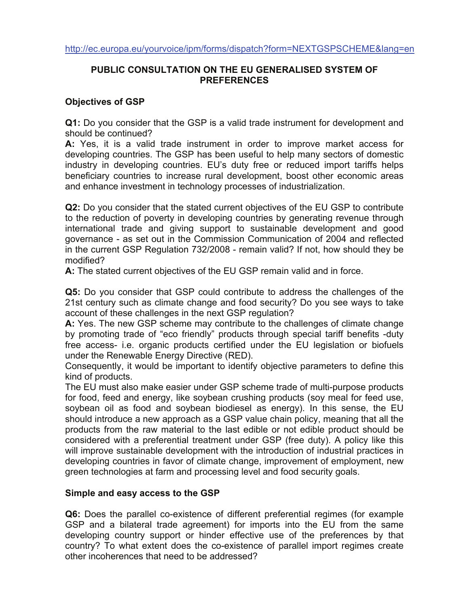# **PUBLIC CONSULTATION ON THE EU GENERALISED SYSTEM OF PREFERENCES**

#### **Objectives of GSP**

**Q1:** Do you consider that the GSP is a valid trade instrument for development and should be continued?

**A:** Yes, it is a valid trade instrument in order to improve market access for developing countries. The GSP has been useful to help many sectors of domestic industry in developing countries. EU's duty free or reduced import tariffs helps beneficiary countries to increase rural development, boost other economic areas and enhance investment in technology processes of industrialization.

**Q2:** Do you consider that the stated current objectives of the EU GSP to contribute to the reduction of poverty in developing countries by generating revenue through international trade and giving support to sustainable development and good governance - as set out in the Commission Communication of 2004 and reflected in the current GSP Regulation 732/2008 - remain valid? If not, how should they be modified?

**A:** The stated current objectives of the EU GSP remain valid and in force.

**Q5:** Do you consider that GSP could contribute to address the challenges of the 21st century such as climate change and food security? Do you see ways to take account of these challenges in the next GSP regulation?

**A:** Yes. The new GSP scheme may contribute to the challenges of climate change by promoting trade of "eco friendly" products through special tariff benefits -duty free access- i.e. organic products certified under the EU legislation or biofuels under the Renewable Energy Directive (RED).

Consequently, it would be important to identify objective parameters to define this kind of products.

The EU must also make easier under GSP scheme trade of multi-purpose products for food, feed and energy, like soybean crushing products (soy meal for feed use, soybean oil as food and soybean biodiesel as energy). In this sense, the EU should introduce a new approach as a GSP value chain policy, meaning that all the products from the raw material to the last edible or not edible product should be considered with a preferential treatment under GSP (free duty). A policy like this will improve sustainable development with the introduction of industrial practices in developing countries in favor of climate change, improvement of employment, new green technologies at farm and processing level and food security goals.

### **Simple and easy access to the GSP**

**Q6:** Does the parallel co-existence of different preferential regimes (for example GSP and a bilateral trade agreement) for imports into the EU from the same developing country support or hinder effective use of the preferences by that country? To what extent does the co-existence of parallel import regimes create other incoherences that need to be addressed?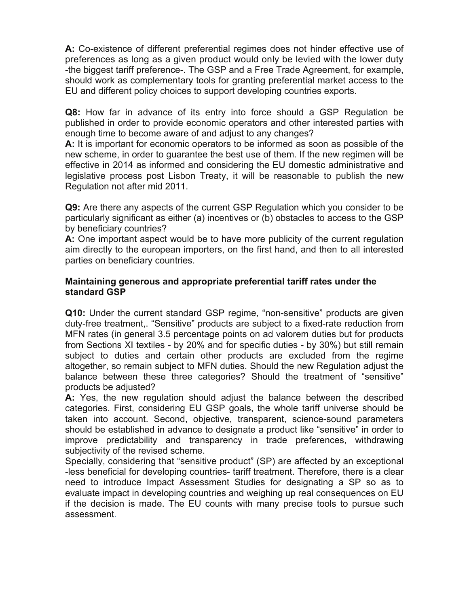**A:** Co-existence of different preferential regimes does not hinder effective use of preferences as long as a given product would only be levied with the lower duty -the biggest tariff preference-. The GSP and a Free Trade Agreement, for example, should work as complementary tools for granting preferential market access to the EU and different policy choices to support developing countries exports.

**Q8:** How far in advance of its entry into force should a GSP Regulation be published in order to provide economic operators and other interested parties with enough time to become aware of and adjust to any changes?

**A:** It is important for economic operators to be informed as soon as possible of the new scheme, in order to guarantee the best use of them. If the new regimen will be effective in 2014 as informed and considering the EU domestic administrative and legislative process post Lisbon Treaty, it will be reasonable to publish the new Regulation not after mid 2011.

**Q9:** Are there any aspects of the current GSP Regulation which you consider to be particularly significant as either (a) incentives or (b) obstacles to access to the GSP by beneficiary countries?

**A:** One important aspect would be to have more publicity of the current regulation aim directly to the european importers, on the first hand, and then to all interested parties on beneficiary countries.

### **Maintaining generous and appropriate preferential tariff rates under the standard GSP**

**Q10:** Under the current standard GSP regime, "non-sensitive" products are given duty-free treatment,. "Sensitive" products are subject to a fixed-rate reduction from MFN rates (in general 3.5 percentage points on ad valorem duties but for products from Sections XI textiles - by 20% and for specific duties - by 30%) but still remain subject to duties and certain other products are excluded from the regime altogether, so remain subject to MFN duties. Should the new Regulation adjust the balance between these three categories? Should the treatment of "sensitive" products be adjusted?

**A:** Yes, the new regulation should adjust the balance between the described categories. First, considering EU GSP goals, the whole tariff universe should be taken into account. Second, objective, transparent, science-sound parameters should be established in advance to designate a product like "sensitive" in order to improve predictability and transparency in trade preferences, withdrawing subjectivity of the revised scheme.

Specially, considering that "sensitive product" (SP) are affected by an exceptional -less beneficial for developing countries- tariff treatment. Therefore, there is a clear need to introduce Impact Assessment Studies for designating a SP so as to evaluate impact in developing countries and weighing up real consequences on EU if the decision is made. The EU counts with many precise tools to pursue such assessment.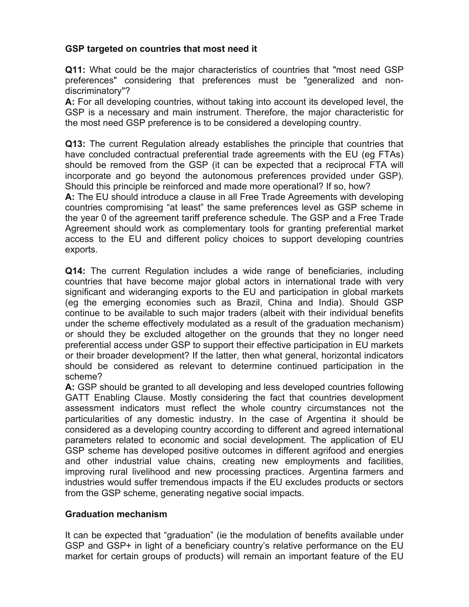# **GSP targeted on countries that most need it**

**Q11:** What could be the major characteristics of countries that "most need GSP preferences" considering that preferences must be "generalized and nondiscriminatory"?

**A:** For all developing countries, without taking into account its developed level, the GSP is a necessary and main instrument. Therefore, the major characteristic for the most need GSP preference is to be considered a developing country.

**Q13:** The current Regulation already establishes the principle that countries that have concluded contractual preferential trade agreements with the EU (eg FTAs) should be removed from the GSP (it can be expected that a reciprocal FTA will incorporate and go beyond the autonomous preferences provided under GSP). Should this principle be reinforced and made more operational? If so, how?

**A:** The EU should introduce a clause in all Free Trade Agreements with developing countries compromising "at least" the same preferences level as GSP scheme in the year 0 of the agreement tariff preference schedule. The GSP and a Free Trade Agreement should work as complementary tools for granting preferential market access to the EU and different policy choices to support developing countries exports.

**Q14:** The current Regulation includes a wide range of beneficiaries, including countries that have become major global actors in international trade with very significant and wideranging exports to the EU and participation in global markets (eg the emerging economies such as Brazil, China and India). Should GSP continue to be available to such major traders (albeit with their individual benefits under the scheme effectively modulated as a result of the graduation mechanism) or should they be excluded altogether on the grounds that they no longer need preferential access under GSP to support their effective participation in EU markets or their broader development? If the latter, then what general, horizontal indicators should be considered as relevant to determine continued participation in the scheme?

**A:** GSP should be granted to all developing and less developed countries following GATT Enabling Clause. Mostly considering the fact that countries development assessment indicators must reflect the whole country circumstances not the particularities of any domestic industry. In the case of Argentina it should be considered as a developing country according to different and agreed international parameters related to economic and social development. The application of EU GSP scheme has developed positive outcomes in different agrifood and energies and other industrial value chains, creating new employments and facilities, improving rural livelihood and new processing practices. Argentina farmers and industries would suffer tremendous impacts if the EU excludes products or sectors from the GSP scheme, generating negative social impacts.

### **Graduation mechanism**

It can be expected that "graduation" (ie the modulation of benefits available under GSP and GSP+ in light of a beneficiary country's relative performance on the EU market for certain groups of products) will remain an important feature of the EU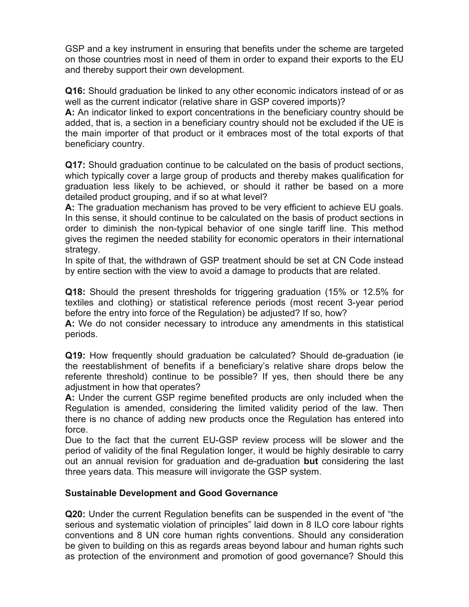GSP and a key instrument in ensuring that benefits under the scheme are targeted on those countries most in need of them in order to expand their exports to the EU and thereby support their own development.

**Q16:** Should graduation be linked to any other economic indicators instead of or as well as the current indicator (relative share in GSP covered imports)?

**A:** An indicator linked to export concentrations in the beneficiary country should be added, that is, a section in a beneficiary country should not be excluded if the UE is the main importer of that product or it embraces most of the total exports of that beneficiary country.

**Q17:** Should graduation continue to be calculated on the basis of product sections, which typically cover a large group of products and thereby makes qualification for graduation less likely to be achieved, or should it rather be based on a more detailed product grouping, and if so at what level?

**A:** The graduation mechanism has proved to be very efficient to achieve EU goals. In this sense, it should continue to be calculated on the basis of product sections in order to diminish the non-typical behavior of one single tariff line. This method gives the regimen the needed stability for economic operators in their international strategy.

In spite of that, the withdrawn of GSP treatment should be set at CN Code instead by entire section with the view to avoid a damage to products that are related.

**Q18:** Should the present thresholds for triggering graduation (15% or 12.5% for textiles and clothing) or statistical reference periods (most recent 3-year period before the entry into force of the Regulation) be adjusted? If so, how?

**A:** We do not consider necessary to introduce any amendments in this statistical periods.

**Q19:** How frequently should graduation be calculated? Should de-graduation (ie the reestablishment of benefits if a beneficiary's relative share drops below the referente threshold) continue to be possible? If yes, then should there be any adjustment in how that operates?

**A:** Under the current GSP regime benefited products are only included when the Regulation is amended, considering the limited validity period of the law. Then there is no chance of adding new products once the Regulation has entered into force.

Due to the fact that the current EU-GSP review process will be slower and the period of validity of the final Regulation longer, it would be highly desirable to carry out an annual revision for graduation and de-graduation **but** considering the last three years data. This measure will invigorate the GSP system.

### **Sustainable Development and Good Governance**

**Q20:** Under the current Regulation benefits can be suspended in the event of "the serious and systematic violation of principles" laid down in 8 ILO core labour rights conventions and 8 UN core human rights conventions. Should any consideration be given to building on this as regards areas beyond labour and human rights such as protection of the environment and promotion of good governance? Should this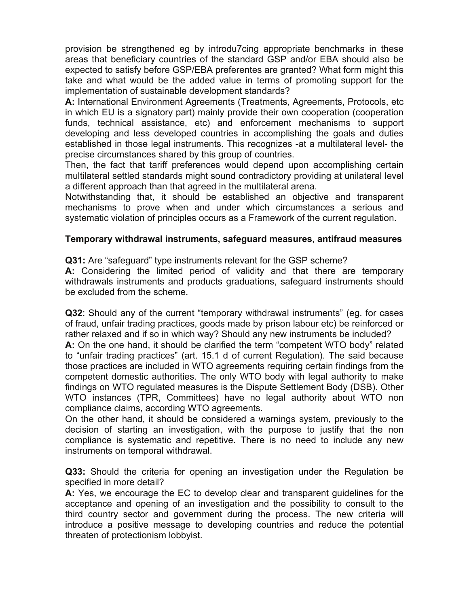provision be strengthened eg by introdu7cing appropriate benchmarks in these areas that beneficiary countries of the standard GSP and/or EBA should also be expected to satisfy before GSP/EBA preferentes are granted? What form might this take and what would be the added value in terms of promoting support for the implementation of sustainable development standards?

**A:** International Environment Agreements (Treatments, Agreements, Protocols, etc in which EU is a signatory part) mainly provide their own cooperation (cooperation funds, technical assistance, etc) and enforcement mechanisms to support developing and less developed countries in accomplishing the goals and duties established in those legal instruments. This recognizes -at a multilateral level- the precise circumstances shared by this group of countries.

Then, the fact that tariff preferences would depend upon accomplishing certain multilateral settled standards might sound contradictory providing at unilateral level a different approach than that agreed in the multilateral arena.

Notwithstanding that, it should be established an objective and transparent mechanisms to prove when and under which circumstances a serious and systematic violation of principles occurs as a Framework of the current regulation.

## **Temporary withdrawal instruments, safeguard measures, antifraud measures**

**Q31:** Are "safeguard" type instruments relevant for the GSP scheme?

**A:** Considering the limited period of validity and that there are temporary withdrawals instruments and products graduations, safeguard instruments should be excluded from the scheme.

**Q32**: Should any of the current "temporary withdrawal instruments" (eg. for cases of fraud, unfair trading practices, goods made by prison labour etc) be reinforced or rather relaxed and if so in which way? Should any new instruments be included?

**A:** On the one hand, it should be clarified the term "competent WTO body" related to "unfair trading practices" (art. 15.1 d of current Regulation). The said because those practices are included in WTO agreements requiring certain findings from the competent domestic authorities. The only WTO body with legal authority to make findings on WTO regulated measures is the Dispute Settlement Body (DSB). Other WTO instances (TPR, Committees) have no legal authority about WTO non compliance claims, according WTO agreements.

On the other hand, it should be considered a warnings system, previously to the decision of starting an investigation, with the purpose to justify that the non compliance is systematic and repetitive. There is no need to include any new instruments on temporal withdrawal.

**Q33:** Should the criteria for opening an investigation under the Regulation be specified in more detail?

**A:** Yes, we encourage the EC to develop clear and transparent guidelines for the acceptance and opening of an investigation and the possibility to consult to the third country sector and government during the process. The new criteria will introduce a positive message to developing countries and reduce the potential threaten of protectionism lobbyist.